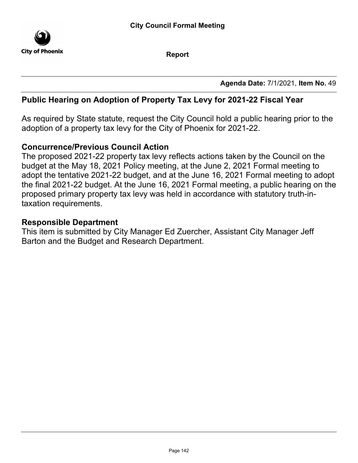

Report

Agenda Date: 7/1/2021, Item No. 49

## Public Hearing on Adoption of Property Tax Levy for 2021-22 Fiscal Year

As required by State statute, request the City Council hold a public hearing prior to the adoption of a property tax levy for the City of Phoenix for 2021-22.

### Concurrence/Previous Council Action

The proposed 2021-22 property tax levy reflects actions taken by the Council on the budget at the May 18, 2021 Policy meeting, at the June 2, 2021 Formal meeting to adopt the tentative 2021-22 budget, and at the June 16, 2021 Formal meeting to adopt the final 2021-22 budget. At the June 16, 2021 Formal meeting, a public hearing on the proposed primary property tax levy was held in accordance with statutory truth-intaxation requirements.

#### Responsible Department

This item is submitted by City Manager Ed Zuercher, Assistant City Manager Jeff Barton and the Budget and Research Department.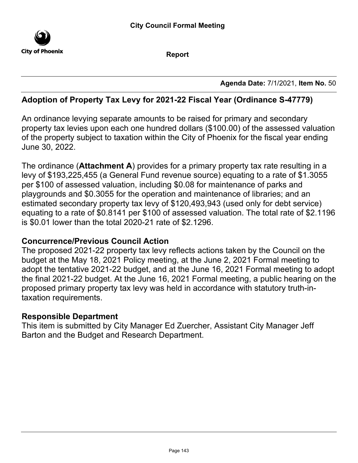

Report

Agenda Date: 7/1/2021, Item No. 50

# Adoption of Property Tax Levy for 2021-22 Fiscal Year (Ordinance S-47779)

An ordinance levying separate amounts to be raised for primary and secondary property tax levies upon each one hundred dollars (\$100.00) of the assessed valuation of the property subject to taxation within the City of Phoenix for the fiscal year ending June 30, 2022.

The ordinance (Attachment A) provides for a primary property tax rate resulting in a levy of \$193,225,455 (a General Fund revenue source) equating to a rate of \$1.3055 per \$100 of assessed valuation, including \$0.08 for maintenance of parks and playgrounds and \$0.3055 for the operation and maintenance of libraries; and an estimated secondary property tax levy of \$120,493,943 (used only for debt service) equating to a rate of \$0.8141 per \$100 of assessed valuation. The total rate of \$2.1196 is \$0.01 lower than the total 2020-21 rate of \$2.1296.

### Concurrence/Previous Council Action

The proposed 2021-22 property tax levy reflects actions taken by the Council on the budget at the May 18, 2021 Policy meeting, at the June 2, 2021 Formal meeting to adopt the tentative 2021-22 budget, and at the June 16, 2021 Formal meeting to adopt the final 2021-22 budget. At the June 16, 2021 Formal meeting, a public hearing on the proposed primary property tax levy was held in accordance with statutory truth-intaxation requirements.

### Responsible Department

This item is submitted by City Manager Ed Zuercher, Assistant City Manager Jeff Barton and the Budget and Research Department.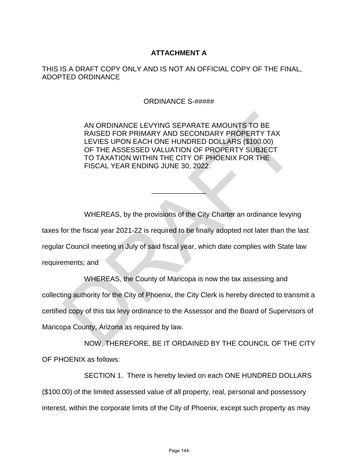#### **ATTACHMENT A**

#### THIS IS A DRAFT COPY ONLY AND IS NOT AN OFFICIAL COPY OF THE FINAL, ADOPTED ORDINANCE

ORDINANCE S-#####

AN ORDINANCE LEVYING SEPARATE AMOUNTS TO BE RAISED FOR PRIMARY AND SECONDARY PROPERTY TAX LEVIES UPON EACH ONE HUNDRED DOLLARS (\$100.00) OF THE ASSESSED VALUATION OF PROPERTY SUBJECT TO TAXATION WITHIN THE CITY OF PHOENIX FOR THE FISCAL YEAR ENDING JUNE 30, 2022.

WHEREAS, by the provisions of the City Charter an ordinance levying taxes for the fiscal year 2021-22 is required to be finally adopted not later than the last regular Council meeting in July of said fiscal year, which date complies with State law requirements; and AN ORDINANCE LEVYING SEPARATE AMOUNTS TO BE<br>
RAISED FOR PRIMARY AND SECONDARY PROPERTY TAX<br>
LEVIES UPON EACH ONE HUNDRED DOLLARS (\$100.00)<br>
OF THE ASSESSED VALUATION OF PROPERTY SUBJECT<br>
TO TAXATION WITHIN THE CITY OF PROP

 $\frac{1}{2}$ 

WHEREAS, the County of Maricopa is now the tax assessing and collecting authority for the City of Phoenix, the City Clerk is hereby directed to transmit a certified copy of this tax levy ordinance to the Assessor and the Board of Supervisors of Maricopa County, Arizona as required by law.

NOW, THEREFORE, BE IT ORDAINED BY THE COUNCIL OF THE CITY OF PHOENIX as follows:

SECTION 1. There is hereby levied on each ONE HUNDRED DOLLARS (\$100.00) of the limited assessed value of all property, real, personal and possessory interest, within the corporate limits of the City of Phoenix, except such property as may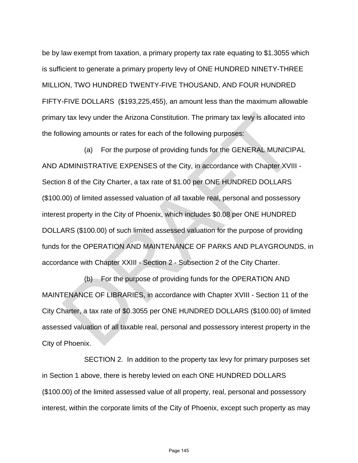be by law exempt from taxation, a primary property tax rate equating to \$1.3055 which is sufficient to generate a primary property levy of ONE HUNDRED NINETY-THREE MILLION, TWO HUNDRED TWENTY-FIVE THOUSAND, AND FOUR HUNDRED FIFTY-FIVE DOLLARS (\$193,225,455), an amount less than the maximum allowable primary tax levy under the Arizona Constitution. The primary tax levy is allocated into the following amounts or rates for each of the following purposes:

(a) For the purpose of providing funds for the GENERAL MUNICIPAL AND ADMINISTRATIVE EXPENSES of the City, in accordance with Chapter XVIII - Section 8 of the City Charter, a tax rate of \$1.00 per ONE HUNDRED DOLLARS (\$100.00) of limited assessed valuation of all taxable real, personal and possessory interest property in the City of Phoenix, which includes \$0.08 per ONE HUNDRED DOLLARS (\$100.00) of such limited assessed valuation for the purpose of providing funds for the OPERATION AND MAINTENANCE OF PARKS AND PLAYGROUNDS, in accordance with Chapter XXIII - Section 2 - Subsection 2 of the City Charter. y tax levy under the Arizona Constitution. The primary tax levy is allocated in<br>lowing amounts or rates for each of the following purposes:<br>(a) For the purpose of providing funds for the GENERAL MUNICIP<br>DMINISTRATIVE EXPEN

(b) For the purpose of providing funds for the OPERATION AND MAINTENANCE OF LIBRARIES, in accordance with Chapter XVIII - Section 11 of the City Charter, a tax rate of \$0.3055 per ONE HUNDRED DOLLARS (\$100.00) of limited assessed valuation of all taxable real, personal and possessory interest property in the City of Phoenix.

SECTION 2. In addition to the property tax levy for primary purposes set in Section 1 above, there is hereby levied on each ONE HUNDRED DOLLARS (\$100.00) of the limited assessed value of all property, real, personal and possessory interest, within the corporate limits of the City of Phoenix, except such property as may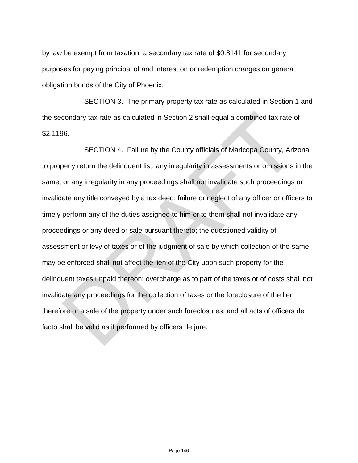by law be exempt from taxation, a secondary tax rate of \$0.8141 for secondary purposes for paying principal of and interest on or redemption charges on general obligation bonds of the City of Phoenix.

SECTION 3. The primary property tax rate as calculated in Section 1 and the secondary tax rate as calculated in Section 2 shall equal a combined tax rate of \$2.1196.

SECTION 4. Failure by the County officials of Maricopa County, Arizona to properly return the delinquent list, any irregularity in assessments or omissions in the same, or any irregularity in any proceedings shall not invalidate such proceedings or invalidate any title conveyed by a tax deed; failure or neglect of any officer or officers to timely perform any of the duties assigned to him or to them shall not invalidate any proceedings or any deed or sale pursuant thereto; the questioned validity of assessment or levy of taxes or of the judgment of sale by which collection of the same may be enforced shall not affect the lien of the City upon such property for the delinquent taxes unpaid thereon; overcharge as to part of the taxes or of costs shall not invalidate any proceedings for the collection of taxes or the foreclosure of the lien therefore or a sale of the property under such foreclosures; and all acts of officers de facto shall be valid as if performed by officers de jure. condary tax rate as calculated in Section 2 shall equal a combined tax rate compared the sets.<br>SECTION 4. Failure by the County officials of Maricopa County, Arizerly return the delinquent list, any irregularity in assessm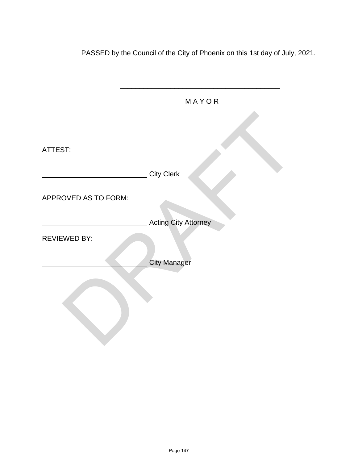PASSED by the Council of the City of Phoenix on this 1st day of July, 2021.

|                      | MAYOR                       |
|----------------------|-----------------------------|
|                      |                             |
| ATTEST:              |                             |
|                      | <b>City Clerk</b>           |
| APPROVED AS TO FORM: |                             |
|                      | <b>Acting City Attorney</b> |
| <b>REVIEWED BY:</b>  |                             |
|                      | <b>City Manager</b>         |
|                      |                             |